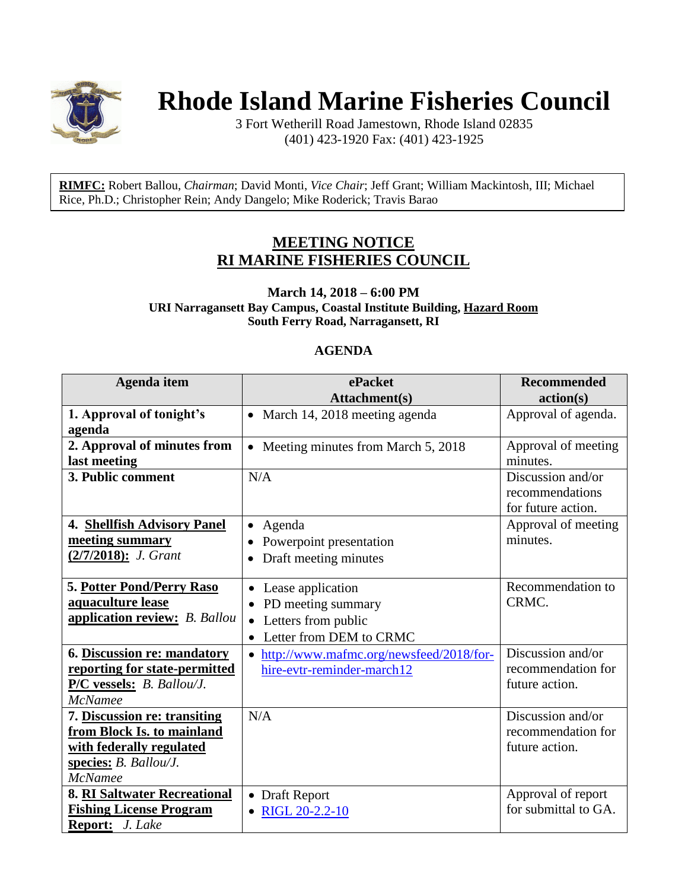

## **Rhode Island Marine Fisheries Council**

3 Fort Wetherill Road Jamestown, Rhode Island 02835 (401) 423-1920 Fax: (401) 423-1925

**RIMFC:** [Robert Ballou,](mailto:robert.ballou@dem.ri.gov) *Chairman*; [David Monti,](mailto:dmonti@rdwgroup.com) *Vice Chair*; [Jeff Grant;](mailto:jeffgrant19@cox.net) [William Mackintosh,](mailto:fvthistle@verizon.net) III; [Michael](mailto:rice@uri.edu)  [Rice, Ph.D.;](mailto:rice@uri.edu) [Christopher Rein;](mailto:cgreinstrategies@gmail.com) [Andy Dangelo;](mailto:maridee2@gmail.com) Mike Roderick; Travis Barao

## **MEETING NOTICE RI MARINE FISHERIES COUNCIL**

**March 14, 2018 – 6:00 PM URI Narragansett Bay Campus, Coastal Institute Building, Hazard Room South Ferry Road, Narragansett, RI**

## **AGENDA**

| <b>Agenda</b> item                                                                                                                | ePacket                                                                                                             | <b>Recommended</b>                                         |
|-----------------------------------------------------------------------------------------------------------------------------------|---------------------------------------------------------------------------------------------------------------------|------------------------------------------------------------|
|                                                                                                                                   | Attachment(s)                                                                                                       | action(s)                                                  |
| 1. Approval of tonight's<br>agenda                                                                                                | • March 14, 2018 meeting agenda                                                                                     | Approval of agenda.                                        |
| 2. Approval of minutes from<br>last meeting                                                                                       | Meeting minutes from March 5, 2018<br>$\bullet$                                                                     | Approval of meeting<br>minutes.                            |
| 3. Public comment                                                                                                                 | N/A                                                                                                                 | Discussion and/or<br>recommendations<br>for future action. |
| 4. Shellfish Advisory Panel<br>meeting summary<br>(2/7/2018): J. Grant                                                            | Agenda<br>$\bullet$<br>Powerpoint presentation<br>Draft meeting minutes                                             | Approval of meeting<br>minutes.                            |
| <b>5. Potter Pond/Perry Raso</b><br>aquaculture lease<br>application review: B. Ballou                                            | Lease application<br>$\bullet$<br>PD meeting summary<br>Letters from public<br>$\bullet$<br>Letter from DEM to CRMC | Recommendation to<br>CRMC.                                 |
| 6. Discussion re: mandatory<br>reporting for state-permitted<br>P/C vessels: B. Ballou/J.<br><b>McNamee</b>                       | http://www.mafmc.org/newsfeed/2018/for-<br>hire-evtr-reminder-march12                                               | Discussion and/or<br>recommendation for<br>future action.  |
| 7. Discussion re: transiting<br>from Block Is. to mainland<br>with federally regulated<br>species: B. Ballou/J.<br><b>McNamee</b> | N/A                                                                                                                 | Discussion and/or<br>recommendation for<br>future action.  |
| <b>8. RI Saltwater Recreational</b><br><b>Fishing License Program</b><br>Report: J. Lake                                          | • Draft Report<br>• RIGL 20-2.2-10                                                                                  | Approval of report<br>for submittal to GA.                 |